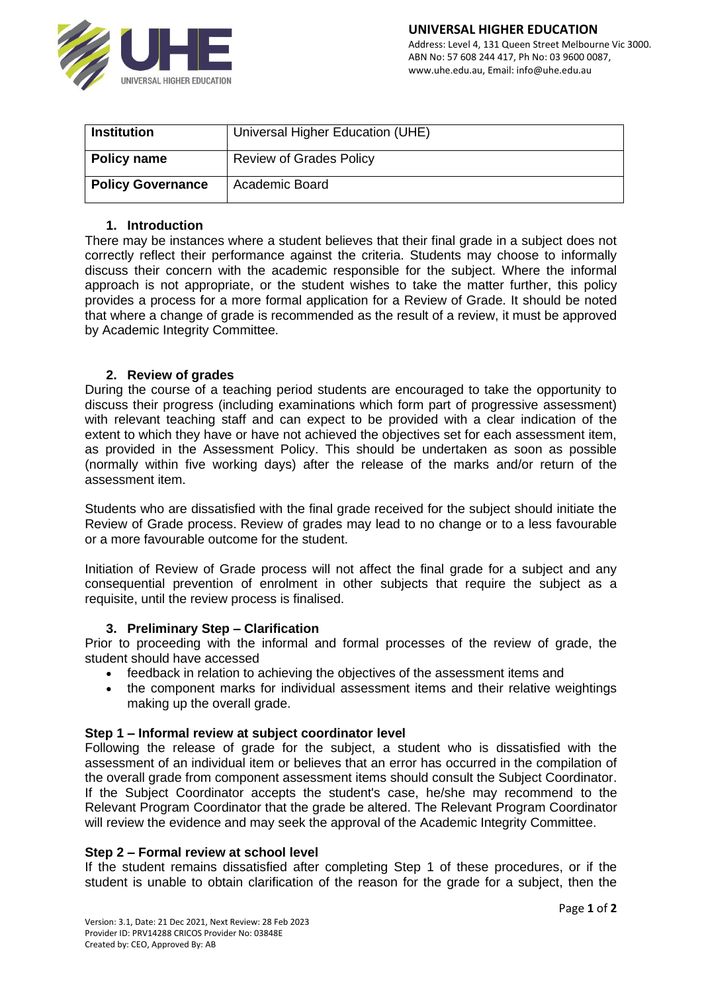

| <b>Institution</b>       | Universal Higher Education (UHE) |
|--------------------------|----------------------------------|
| Policy name              | <b>Review of Grades Policy</b>   |
| <b>Policy Governance</b> | Academic Board                   |

# **1. Introduction**

There may be instances where a student believes that their final grade in a subject does not correctly reflect their performance against the criteria. Students may choose to informally discuss their concern with the academic responsible for the subject. Where the informal approach is not appropriate, or the student wishes to take the matter further, this policy provides a process for a more formal application for a Review of Grade. It should be noted that where a change of grade is recommended as the result of a review, it must be approved by Academic Integrity Committee.

### **2. Review of grades**

During the course of a teaching period students are encouraged to take the opportunity to discuss their progress (including examinations which form part of progressive assessment) with relevant teaching staff and can expect to be provided with a clear indication of the extent to which they have or have not achieved the objectives set for each assessment item, as provided in the Assessment Policy. This should be undertaken as soon as possible (normally within five working days) after the release of the marks and/or return of the assessment item.

Students who are dissatisfied with the final grade received for the subject should initiate the Review of Grade process. Review of grades may lead to no change or to a less favourable or a more favourable outcome for the student.

Initiation of Review of Grade process will not affect the final grade for a subject and any consequential prevention of enrolment in other subjects that require the subject as a requisite, until the review process is finalised.

#### **3. Preliminary Step – Clarification**

Prior to proceeding with the informal and formal processes of the review of grade, the student should have accessed

- feedback in relation to achieving the objectives of the assessment items and
- the component marks for individual assessment items and their relative weightings making up the overall grade.

#### **Step 1 – Informal review at subject coordinator level**

Following the release of grade for the subject, a student who is dissatisfied with the assessment of an individual item or believes that an error has occurred in the compilation of the overall grade from component assessment items should consult the Subject Coordinator. If the Subject Coordinator accepts the student's case, he/she may recommend to the Relevant Program Coordinator that the grade be altered. The Relevant Program Coordinator will review the evidence and may seek the approval of the Academic Integrity Committee.

#### **Step 2 – Formal review at school level**

If the student remains dissatisfied after completing Step 1 of these procedures, or if the student is unable to obtain clarification of the reason for the grade for a subject, then the